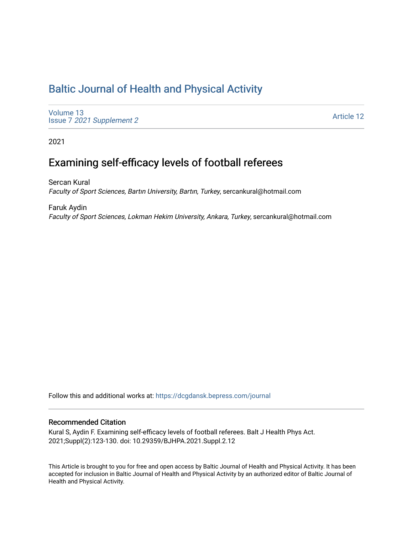## [Baltic Journal of Health and Physical Activity](https://dcgdansk.bepress.com/journal)

[Volume 13](https://dcgdansk.bepress.com/journal/vol13) Issue 7 [2021 Supplement 2](https://dcgdansk.bepress.com/journal/vol13/iss7) 

[Article 12](https://dcgdansk.bepress.com/journal/vol13/iss7/12) 

2021

# Examining self-efficacy levels of football referees

Sercan Kural Faculty of Sport Sciences, Bartın University, Bartın, Turkey, sercankural@hotmail.com

Faruk Aydin Faculty of Sport Sciences, Lokman Hekim University, Ankara, Turkey, sercankural@hotmail.com

Follow this and additional works at: [https://dcgdansk.bepress.com/journal](https://dcgdansk.bepress.com/journal?utm_source=dcgdansk.bepress.com%2Fjournal%2Fvol13%2Fiss7%2F12&utm_medium=PDF&utm_campaign=PDFCoverPages)

#### Recommended Citation

Kural S, Aydin F. Examining self-efficacy levels of football referees. Balt J Health Phys Act. 2021;Suppl(2):123-130. doi: 10.29359/BJHPA.2021.Suppl.2.12

This Article is brought to you for free and open access by Baltic Journal of Health and Physical Activity. It has been accepted for inclusion in Baltic Journal of Health and Physical Activity by an authorized editor of Baltic Journal of Health and Physical Activity.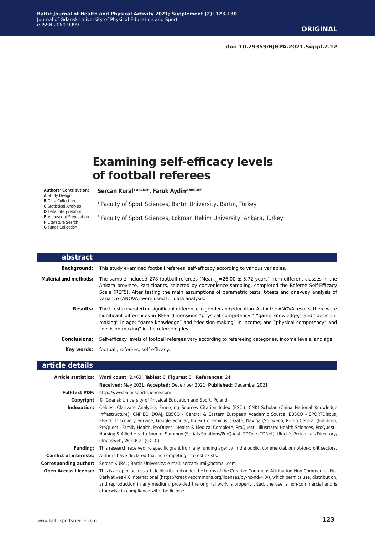# **Examining self-efficacy levels of football referees**

#### **Authors' Contribution:**

- **A** Study Design
- **B** Data Collection
- **C** Statistical Analysis
- **D** Data Interpretation
- **E** Manuscript Preparation
- **F** Literature Search
- **G** Funds Collection

Sercan Kural<sup>1 ABCDEF</sup>, Faruk Aydin<sup>2 ABCDEF</sup>

<sup>1</sup> Faculty of Sport Sciences, Bartın University, Bartın, Turkey

2 Faculty of Sport Sciences, Lokman Hekim University, Ankara, Turkey

| abstract                     |                                                                                                                                                                                                                                                                                                                                                                                         |
|------------------------------|-----------------------------------------------------------------------------------------------------------------------------------------------------------------------------------------------------------------------------------------------------------------------------------------------------------------------------------------------------------------------------------------|
| <b>Background:</b>           | This study examined football referees' self-efficacy according to various variables.                                                                                                                                                                                                                                                                                                    |
| <b>Material and methods:</b> | The sample included 278 football referees (Mean <sub>age</sub> =26.00 $\pm$ 5.72 years) from different classes in the<br>Ankara province. Participants, selected by convenience sampling, completed the Referee Self-Efficacy<br>Scale (REFS). After testing the main assumptions of parametric tests, t-tests and one-way analysis of<br>variance (ANOVA) were used for data analysis. |
| <b>Results:</b>              | The t-tests revealed no significant difference in gender and education. As for the ANOVA results, there were<br>significant differences in REFS dimensions "physical competency," "game knowledge," and "decision-<br>making" in age; "game knowledge" and "decision-making" in income; and "physical competency" and<br>"decision-making" in the refereeing level.                     |
| <b>Conclusions:</b>          | Self-efficacy levels of football referees vary according to refereeing categories, income levels, and age.                                                                                                                                                                                                                                                                              |
| Kev words:                   | football, referees, self-efficacy.                                                                                                                                                                                                                                                                                                                                                      |

#### **article details**

|                               | Article statistics: Word count: 2,463; Tables: 6; Figures: 0; References: 24                                                                                                                                                                                                                                                                                                                                                                                                                                                                                                                                       |
|-------------------------------|--------------------------------------------------------------------------------------------------------------------------------------------------------------------------------------------------------------------------------------------------------------------------------------------------------------------------------------------------------------------------------------------------------------------------------------------------------------------------------------------------------------------------------------------------------------------------------------------------------------------|
|                               | Received: May 2021; Accepted: December 2021; Published: December 2021                                                                                                                                                                                                                                                                                                                                                                                                                                                                                                                                              |
| <b>Full-text PDF:</b>         | http://www.balticsportscience.com                                                                                                                                                                                                                                                                                                                                                                                                                                                                                                                                                                                  |
| Copyright                     | © Gdansk University of Physical Education and Sport, Poland                                                                                                                                                                                                                                                                                                                                                                                                                                                                                                                                                        |
| Indexation:                   | Celdes, Clarivate Analytics Emerging Sources Citation Index (ESCI), CNKI Scholar (China National Knowledge<br>Infrastructure), CNPIEC, DOAJ, EBSCO - Central & Eastern European Academic Source, EBSCO - SPORTDiscus,<br>EBSCO Discovery Service, Google Scholar, Index Copernicus, J-Gate, Naviga (Softweco, Primo Central (ExLibris),<br>ProQuest - Family Health, ProQuest - Health & Medical Complete, ProQuest - Illustrata: Health Sciences, ProQuest -<br>Nursing & Allied Health Source, Summon (Serials Solutions/ProQuest, TDOne (TDNet), Ulrich's Periodicals Directory/<br>ulrichsweb, WorldCat (OCLC) |
| Fundina:                      | This research received no specific grant from any funding agency in the public, commercial, or not-for-profit sectors.                                                                                                                                                                                                                                                                                                                                                                                                                                                                                             |
| <b>Conflict of interests:</b> | Authors have declared that no competing interest exists.                                                                                                                                                                                                                                                                                                                                                                                                                                                                                                                                                           |
| Corresponding author:         | Sercan KURAL; Bartin University; e-mail: sercankural@hotmail.com                                                                                                                                                                                                                                                                                                                                                                                                                                                                                                                                                   |
|                               | <b>Open Access License:</b> This is an open access article distributed under the terms of the Creative Commons Attribution-Non-Commercial-No-<br>Derivatives 4.0 International (https://creativecommons.org/licenses/by-nc-nd/4.0/), which permits use, distribution,<br>and reproduction in any medium, provided the original work is properly cited, the use is non-commercial and is<br>otherwise in compliance with the license.                                                                                                                                                                               |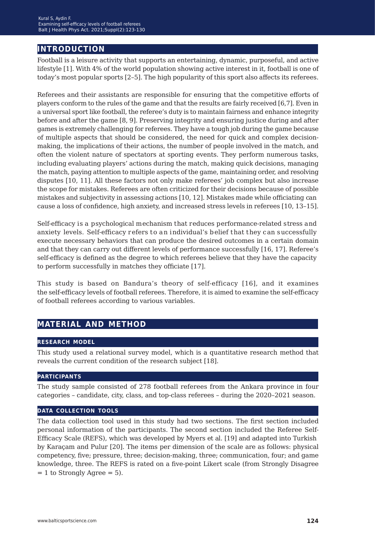## **introduction**

Football is a leisure activity that supports an entertaining, dynamic, purposeful, and active lifestyle [1]. With 4% of the world population showing active interest in it, football is one of today's most popular sports [2–5]. The high popularity of this sport also affects its referees.

Referees and their assistants are responsible for ensuring that the competitive efforts of players conform to the rules of the game and that the results are fairly received [6,7]. Even in a universal sport like football, the referee's duty is to maintain fairness and enhance integrity before and after the game [8, 9]. Preserving integrity and ensuring justice during and after games is extremely challenging for referees. They have a tough job during the game because of multiple aspects that should be considered, the need for quick and complex decisionmaking, the implications of their actions, the number of people involved in the match, and often the violent nature of spectators at sporting events. They perform numerous tasks, including evaluating players' actions during the match, making quick decisions, managing the match, paying attention to multiple aspects of the game, maintaining order, and resolving disputes [10, 11]. All these factors not only make referees' job complex but also increase the scope for mistakes. Referees are often criticized for their decisions because of possible mistakes and subjectivity in assessing actions [10, 12]. Mistakes made while officiating can cause a loss of confidence, high anxiety, and increased stress levels in referees [10, 13–15].

Self-efficacy is a psychological mechanism that reduces performance-related stress and anxiety levels. Self-efficacy refers to an individual's belief that they can successfully execute necessary behaviors that can produce the desired outcomes in a certain domain and that they can carry out different levels of performance successfully [16, 17]. Referee's self-efficacy is defined as the degree to which referees believe that they have the capacity to perform successfully in matches they officiate [17].

This study is based on Bandura's theory of self-efficacy [16], and it examines the self-efficacy levels of football referees. Therefore, it is aimed to examine the self-efficacy of football referees according to various variables.

## **material and method**

#### **research model**

This study used a relational survey model, which is a quantitative research method that reveals the current condition of the research subject [18].

#### **participants**

The study sample consisted of 278 football referees from the Ankara province in four categories – candidate, city, class, and top-class referees – during the 2020–2021 season.

#### **data collection tools**

The data collection tool used in this study had two sections. The first section included personal information of the participants. The second section included the Referee Self-Efficacy Scale (REFS), which was developed by Myers et al. [19] and adapted into Turkish by Karaçam and Pulur [20]. The items per dimension of the scale are as follows: physical competency, five; pressure, three; decision-making, three; communication, four; and game knowledge, three. The REFS is rated on a five-point Likert scale (from Strongly Disagree  $= 1$  to Strongly Agree  $= 5$ ).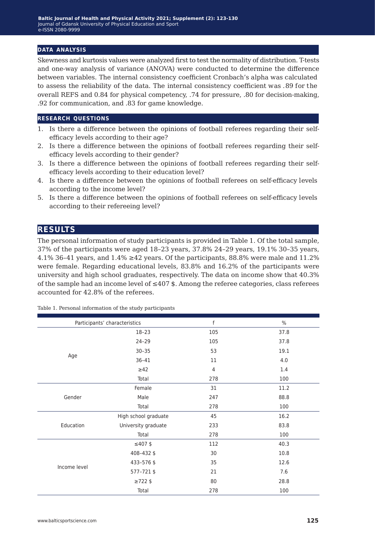#### **data analysis**

Skewness and kurtosis values were analyzed first to test the normality of distribution. T-tests and one-way analysis of variance (ANOVA) were conducted to determine the difference between variables. The internal consistency coefficient Cronbach's alpha was calculated to assess the reliability of the data. The internal consistency coefficient was .89 for the overall REFS and 0.84 for physical competency, .74 for pressure, .80 for decision-making, .92 for communication, and .83 for game knowledge.

#### **research questions**

- 1. Is there a difference between the opinions of football referees regarding their selfefficacy levels according to their age?
- 2. Is there a difference between the opinions of football referees regarding their selfefficacy levels according to their gender?
- 3. Is there a difference between the opinions of football referees regarding their selfefficacy levels according to their education level?
- 4. Is there a difference between the opinions of football referees on self-efficacy levels according to the income level?
- 5. Is there a difference between the opinions of football referees on self-efficacy levels according to their refereeing level?

### **results**

The personal information of study participants is provided in Table 1. Of the total sample, 37% of the participants were aged 18–23 years, 37.8% 24–29 years, 19.1% 30–35 years, 4.1% 36–41 years, and  $1.4\% \ge 42$  years. Of the participants, 88.8% were male and 11.2% were female. Regarding educational levels, 83.8% and 16.2% of the participants were university and high school graduates, respectively. The data on income show that 40.3% of the sample had an income level of  $\leq 407$  \$. Among the referee categories, class referees accounted for 42.8% of the referees.

|              | Participants' characteristics | f              | $\%$ |
|--------------|-------------------------------|----------------|------|
|              | $18 - 23$                     | 105            | 37.8 |
|              | $24 - 29$                     | 105            | 37.8 |
|              | $30 - 35$                     | 53             | 19.1 |
| Age          | $36 - 41$                     | 11             | 4.0  |
|              | $\geq$ 42                     | $\overline{4}$ | 1.4  |
|              | Total                         | 278            | 100  |
|              | Female                        | 31             | 11.2 |
| Gender       | Male                          | 247            | 88.8 |
|              | Total                         | 278            | 100  |
|              | High school graduate          | 45             | 16.2 |
| Education    | University graduate           | 233            | 83.8 |
|              | Total                         | 278            | 100  |
|              | $≤407$ \$                     | 112            | 40.3 |
|              | 408-432\$                     | 30             | 10.8 |
| Income level | 433-576 \$                    | 35             | 12.6 |
|              | 577-721\$                     | 21             | 7.6  |
|              | $\geq 722$ \$                 | 80             | 28.8 |
|              | Total                         | 278            | 100  |

Table 1. Personal information of the study participants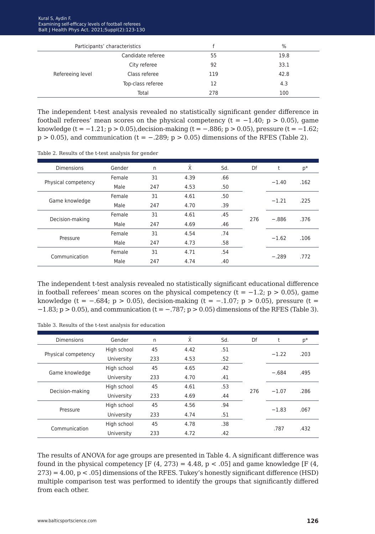|                  | Participants' characteristics |     | $\%$ |
|------------------|-------------------------------|-----|------|
|                  | Candidate referee             | 55  | 19.8 |
|                  | City referee                  | 92  | 33.1 |
| Refereeing level | Class referee                 | 119 | 42.8 |
|                  | Top-class referee             | 12  | 4.3  |
|                  | Total                         | 278 | 100  |

The independent t-test analysis revealed no statistically significant gender difference in football referees' mean scores on the physical competency ( $t = -1.40$ ; p > 0.05), game knowledge (t =  $-1.21$ ; p > 0.05), decision-making (t =  $-0.886$ ; p > 0.05), pressure (t =  $-1.62$ ;  $p > 0.05$ ), and communication (t = -.289;  $p > 0.05$ ) dimensions of the RFES (Table 2).

|  |  |  |  |  | Table 2. Results of the t-test analysis for gender |  |  |
|--|--|--|--|--|----------------------------------------------------|--|--|
|--|--|--|--|--|----------------------------------------------------|--|--|

| <b>Dimensions</b>   | Gender | n   | Χī   | Sd. | Df  | t       | p*   |
|---------------------|--------|-----|------|-----|-----|---------|------|
|                     | Female | 31  | 4.39 | .66 |     |         |      |
| Physical competency | Male   | 247 | 4.53 | .50 |     | $-1.40$ | .162 |
|                     | Female | 31  | 4.61 | .50 |     |         | .225 |
| Game knowledge      | Male   | 247 | 4.70 | .39 |     | $-1.21$ |      |
| Decision-making     | Female | 31  | 4.61 | .45 | 276 | $-.886$ |      |
|                     | Male   | 247 | 4.69 | .46 |     |         | .376 |
|                     | Female | 31  | 4.54 | .74 |     |         |      |
| Pressure            | Male   | 247 | 4.73 | .58 |     | $-1.62$ | .106 |
| Communication       | Female | 31  | 4.71 | .54 |     |         |      |
|                     | Male   | 247 | 4.74 | .40 |     | $-.289$ | .772 |

The independent t-test analysis revealed no statistically significant educational difference in football referees' mean scores on the physical competency ( $t = -1.2$ ;  $p > 0.05$ ), game knowledge (t =  $-.684$ ; p > 0.05), decision-making (t =  $-.1.07$ ; p > 0.05), pressure (t =  $-1.83$ ; p > 0.05), and communication (t =  $-.787$ ; p > 0.05) dimensions of the RFES (Table 3).

Table 3. Results of the t-test analysis for education

| <b>Dimensions</b>   | Gender      | n   | Χ    | Sd. | Df  | t       | $p*$ |
|---------------------|-------------|-----|------|-----|-----|---------|------|
|                     | High school | 45  | 4.42 | .51 |     | $-1.22$ | .203 |
| Physical competency | University  | 233 | 4.53 | .52 |     |         |      |
| Game knowledge      | High school | 45  | 4.65 | .42 |     | $-.684$ | .495 |
|                     | University  | 233 | 4.70 | .41 |     |         |      |
|                     | High school | 45  | 4.61 | .53 | 276 | $-1.07$ | .286 |
| Decision-making     | University  | 233 | 4.69 | .44 |     |         |      |
| Pressure            | High school | 45  | 4.56 | .94 |     |         | .067 |
|                     | University  | 233 | 4.74 | .51 |     | $-1.83$ |      |
| Communication       | High school | 45  | 4.78 | .38 |     | .787    | .432 |
|                     | University  | 233 | 4.72 | .42 |     |         |      |
|                     |             |     |      |     |     |         |      |

The results of ANOVA for age groups are presented in Table 4. A significant difference was found in the physical competency [F(4, 273) = 4.48, p < .05] and game knowledge [F(4, 273) = 4.00, p < .05] dimensions of the RFES. Tukey's honestly significant difference (HSD) multiple comparison test was performed to identify the groups that significantly differed from each other.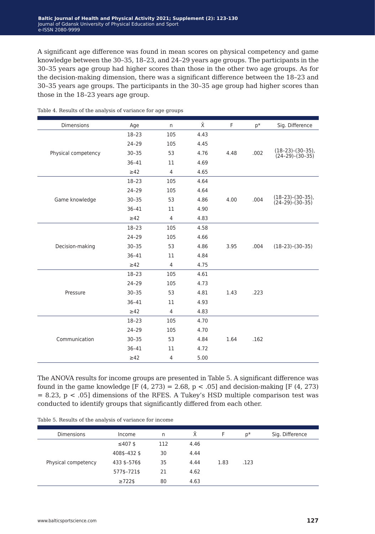A significant age difference was found in mean scores on physical competency and game knowledge between the 30–35, 18–23, and 24–29 years age groups. The participants in the 30–35 years age group had higher scores than those in the other two age groups. As for the decision-making dimension, there was a significant difference between the 18–23 and 30–35 years age groups. The participants in the 30–35 age group had higher scores than those in the 18–23 years age group.

| Dimensions          | Age       | n              | $\bar{\mathsf{X}}$ | F    | $p*$ | Sig. Difference                          |
|---------------------|-----------|----------------|--------------------|------|------|------------------------------------------|
|                     | $18 - 23$ | 105            | 4.43               |      |      |                                          |
|                     | 24-29     | 105            | 4.45               |      |      |                                          |
| Physical competency | $30 - 35$ | 53             | 4.76               | 4.48 | .002 | $(18-23)-(30-35)$ ,<br>$(24-29)-(30-35)$ |
|                     | $36 - 41$ | 11             | 4.69               |      |      |                                          |
|                     | $\geq$ 42 | 4              | 4.65               |      |      |                                          |
|                     | $18 - 23$ | 105            | 4.64               |      |      |                                          |
|                     | $24 - 29$ | 105            | 4.64               |      |      |                                          |
| Game knowledge      | $30 - 35$ | 53             | 4.86               | 4.00 | .004 | $(18-23)-(30-35)$ ,<br>$(24-29)-(30-35)$ |
|                     | $36 - 41$ | 11             | 4.90               |      |      |                                          |
|                     | $\geq$ 42 | $\overline{4}$ | 4.83               |      |      |                                          |
|                     | $18 - 23$ | 105            | 4.58               |      |      |                                          |
|                     | $24 - 29$ | 105            | 4.66               |      |      |                                          |
| Decision-making     | $30 - 35$ | 53             | 4.86               | 3.95 | .004 | $(18-23)-(30-35)$                        |
|                     | $36 - 41$ | 11             | 4.84               |      |      |                                          |
|                     | $\geq 42$ | $\overline{4}$ | 4.75               |      |      |                                          |
|                     | $18 - 23$ | 105            | 4.61               |      |      |                                          |
|                     | $24 - 29$ | 105            | 4.73               |      |      |                                          |
| Pressure            | $30 - 35$ | 53             | 4.81               | 1.43 | .223 |                                          |
|                     | $36 - 41$ | 11             | 4.93               |      |      |                                          |
|                     | $\geq$ 42 | 4              | 4.83               |      |      |                                          |
|                     | $18 - 23$ | 105            | 4.70               |      |      |                                          |
|                     | $24 - 29$ | 105            | 4.70               |      |      |                                          |
| Communication       | $30 - 35$ | 53             | 4.84               | 1.64 | .162 |                                          |
|                     | $36 - 41$ | 11             | 4.72               |      |      |                                          |
|                     | $\geq$ 42 | 4              | 5.00               |      |      |                                          |

Table 4. Results of the analysis of variance for age groups

The ANOVA results for income groups are presented in Table 5. A significant difference was found in the game knowledge [F(4, 273) = 2.68, p  $\lt$  .05] and decision-making [F(4, 273)  $= 8.23$ , p < .05] dimensions of the RFES. A Tukey's HSD multiple comparison test was conducted to identify groups that significantly differed from each other.

Table 5. Results of the analysis of variance for income

| <b>Dimensions</b>   | Income        | n   | X.   | F    | $p*$ | Sig. Difference |
|---------------------|---------------|-----|------|------|------|-----------------|
|                     | ≤407\$        | 112 | 4.46 |      |      |                 |
|                     | 408\$-432\$   | 30  | 4.44 |      |      |                 |
| Physical competency | 433 \$-576\$  | 35  | 4.44 | 1.83 | .123 |                 |
|                     | 577\$-721\$   | 21  | 4.62 |      |      |                 |
|                     | $\geq 722$ \$ | 80  | 4.63 |      |      |                 |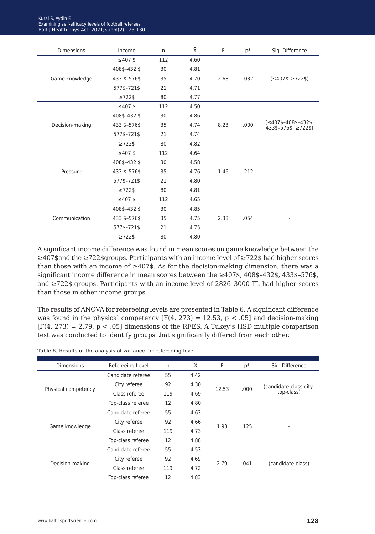| Kural S. Avdin F.                                   |
|-----------------------------------------------------|
| Examining self-efficacy levels of football referees |
| Balt   Health Phys Act. 2021; Suppl(2): 123-130     |

| <b>Dimensions</b> | Income        | n.  | Х.   | F    | $p*$ | Sig. Difference                                                                      |
|-------------------|---------------|-----|------|------|------|--------------------------------------------------------------------------------------|
|                   | $≤407$ \$     | 112 | 4.60 |      |      |                                                                                      |
|                   | 408\$-432\$   | 30  | 4.81 |      |      |                                                                                      |
| Game knowledge    | 433 \$-576\$  | 35  | 4.70 | 2.68 | .032 | $(≤407$-≥722$)$                                                                      |
|                   | 577\$-721\$   | 21  | 4.71 |      |      |                                                                                      |
|                   | $\geq 722$ \$ | 80  | 4.77 |      |      |                                                                                      |
|                   | $≤407$ \$     | 112 | 4.50 |      |      |                                                                                      |
|                   | 408\$-432\$   | 30  | 4.86 |      |      |                                                                                      |
| Decision-making   | 433 \$-576\$  | 35  | 4.74 | 8.23 | .000 | $($ ≤407\$-408\$-432\$,<br>$433\frac{1}{5} - 576\frac{1}{5}$ , $\geq 722\frac{1}{5}$ |
|                   | 577\$-721\$   | 21  | 4.74 |      |      |                                                                                      |
|                   | $\geq 722$ \$ | 80  | 4.82 |      |      |                                                                                      |
|                   | $≤407$ \$     | 112 | 4.64 |      |      |                                                                                      |
|                   | 408\$-432\$   | 30  | 4.58 |      |      |                                                                                      |
| Pressure          | 433 \$-576\$  | 35  | 4.76 | 1.46 | .212 |                                                                                      |
|                   | 577\$-721\$   | 21  | 4.80 |      |      |                                                                                      |
|                   | $\geq 722$ \$ | 80  | 4.81 |      |      |                                                                                      |
|                   | ≤407\$        | 112 | 4.65 |      |      |                                                                                      |
|                   | 408\$-432\$   | 30  | 4.85 |      |      |                                                                                      |
| Communication     | 433 \$-576\$  | 35  | 4.75 | 2.38 | .054 |                                                                                      |
|                   | 577\$-721\$   | 21  | 4.75 |      |      |                                                                                      |
|                   | $\geq 722$ \$ | 80  | 4.80 |      |      |                                                                                      |

A significant income difference was found in mean scores on game knowledge between the ≥407\$and the ≥722\$groups. Participants with an income level of ≥722\$ had higher scores than those with an income of  $\geq 407$ \$. As for the decision-making dimension, there was a significant income difference in mean scores between the ≥407\$, 408\$–432\$, 433\$–576\$, and ≥722\$ groups. Participants with an income level of 2826–3000 TL had higher scores than those in other income groups.

The results of ANOVA for refereeing levels are presented in Table 6. A significant difference was found in the physical competency  $[F(4, 273) = 12.53, p < .05]$  and decision-making  $[F(4, 273) = 2.79, p < .05]$  dimensions of the RFES. A Tukey's HSD multiple comparison test was conducted to identify groups that significantly differed from each other.

|  |  | Table 6. Results of the analysis of variance for refereeing level |  |  |
|--|--|-------------------------------------------------------------------|--|--|
|  |  |                                                                   |  |  |

| Dimensions          | Refereeing Level  | n.  | Χ    | F     | $p*$  | Sig. Difference                      |
|---------------------|-------------------|-----|------|-------|-------|--------------------------------------|
| Physical competency | Candidate referee | 55  | 4.42 | 12.53 | .000. | (candidate-class-city-<br>top-class) |
|                     | City referee      | 92  | 4.30 |       |       |                                      |
|                     | Class referee     | 119 | 4.69 |       |       |                                      |
|                     | Top-class referee | 12  | 4.80 |       |       |                                      |
| Game knowledge      | Candidate referee | 55  | 4.63 | 1.93  | .125  |                                      |
|                     | City referee      | 92  | 4.66 |       |       |                                      |
|                     | Class referee     | 119 | 4.73 |       |       |                                      |
|                     | Top-class referee | 12  | 4.88 |       |       |                                      |
| Decision-making     | Candidate referee | 55  | 4.53 | 2.79  | .041  | (candidate-class)                    |
|                     | City referee      | 92  | 4.69 |       |       |                                      |
|                     | Class referee     | 119 | 4.72 |       |       |                                      |
|                     | Top-class referee | 12  | 4.83 |       |       |                                      |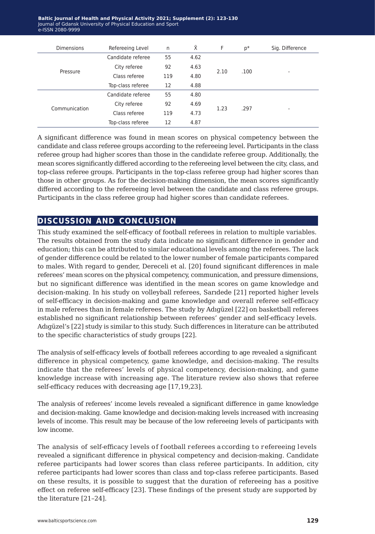**Baltic Journal of Health and Physical Activity 2021; Supplement (2): 123-130** Journal of Gdansk University of Physical Education and Sport e-ISSN 2080-9999

| <b>Dimensions</b> | Refereeing Level  | n   | Χ    | F    | p*   | Sig. Difference |
|-------------------|-------------------|-----|------|------|------|-----------------|
| Pressure          | Candidate referee | 55  | 4.62 | 2.10 | .100 | ۰               |
|                   | City referee      | 92  | 4.63 |      |      |                 |
|                   | Class referee     | 119 | 4.80 |      |      |                 |
|                   | Top-class referee | 12  | 4.88 |      |      |                 |
| Communication     | Candidate referee | 55  | 4.80 | 1.23 | .297 |                 |
|                   | City referee      | 92  | 4.69 |      |      |                 |
|                   | Class referee     | 119 | 4.73 |      |      |                 |
|                   | Top-class referee | 12  | 4.87 |      |      |                 |

A significant difference was found in mean scores on physical competency between the candidate and class referee groups according to the refereeing level. Participants in the class referee group had higher scores than those in the candidate referee group. Additionally, the mean scores significantly differed according to the refereeing level between the city, class, and top-class referee groups. Participants in the top-class referee group had higher scores than those in other groups. As for the decision-making dimension, the mean scores significantly differed according to the refereeing level between the candidate and class referee groups. Participants in the class referee group had higher scores than candidate referees.

## **discussion and conclusion**

This study examined the self-efficacy of football referees in relation to multiple variables. The results obtained from the study data indicate no significant difference in gender and education; this can be attributed to similar educational levels among the referees. The lack of gender difference could be related to the lower number of female participants compared to males. With regard to gender, Dereceli et al. [20] found significant differences in male referees' mean scores on the physical competency, communication, and pressure dimensions, but no significant difference was identified in the mean scores on game knowledge and decision-making. In his study on volleyball referees, Sarıdede [21] reported higher levels of self-efficacy in decision-making and game knowledge and overall referee self-efficacy in male referees than in female referees. The study by Adıgüzel [22] on basketball referees established no significant relationship between referees' gender and self-efficacy levels. Adıgüzel's [22] study is similar to this study. Such differences in literature can be attributed to the specific characteristics of study groups [22].

The analysis of self-efficacy levels of football referees according to age revealed a significant difference in physical competency, game knowledge, and decision-making. The results indicate that the referees' levels of physical competency, decision-making, and game knowledge increase with increasing age. The literature review also shows that referee self-efficacy reduces with decreasing age [17,19,23].

The analysis of referees' income levels revealed a significant difference in game knowledge and decision-making. Game knowledge and decision-making levels increased with increasing levels of income. This result may be because of the low refereeing levels of participants with low income.

The analysis of self-efficacy levels of football referees according to refereeing levels revealed a significant difference in physical competency and decision-making. Candidate referee participants had lower scores than class referee participants. In addition, city referee participants had lower scores than class and top-class referee participants. Based on these results, it is possible to suggest that the duration of refereeing has a positive effect on referee self-efficacy [23]. These findings of the present study are supported by the literature [21–24].